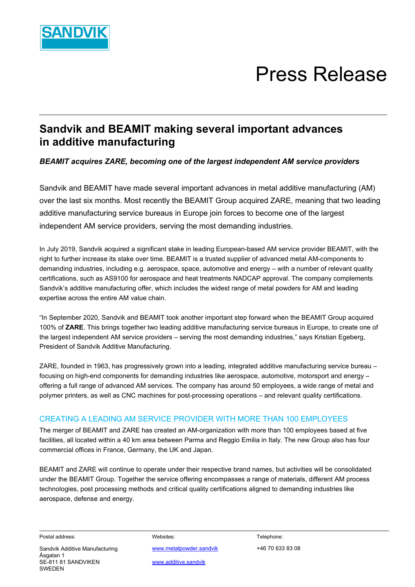

# Press Release

## **Sandvik and BEAMIT making several important advances in additive manufacturing**

*BEAMIT acquires ZARE, becoming one of the largest independent AM service providers*

Sandvik and BEAMIT have made several important advances in metal additive manufacturing (AM) over the last six months. Most recently the BEAMIT Group acquired ZARE, meaning that two leading additive manufacturing service bureaus in Europe join forces to become one of the largest independent AM service providers, serving the most demanding industries.

In July 2019, Sandvik acquired a significant stake in leading European-based AM service provider BEAMIT, with the right to further increase its stake over time. BEAMIT is a trusted supplier of advanced metal AM-components to demanding industries, including e.g. aerospace, space, automotive and energy – with a number of relevant quality certifications, such as AS9100 for aerospace and heat treatments NADCAP approval. The company complements Sandvik's additive manufacturing offer, which includes the widest range of metal powders for AM and leading expertise across the entire AM value chain.

"In September 2020, Sandvik and BEAMIT took another important step forward when the BEAMIT Group acquired 100% of **ZARE**. This brings together two leading additive manufacturing service bureaus in Europe, to create one of the largest independent AM service providers – serving the most demanding industries," says Kristian Egeberg, President of Sandvik Additive Manufacturing.

ZARE, founded in 1963, has progressively grown into a leading, integrated additive manufacturing service bureau – focusing on high-end components for demanding industries like aerospace, automotive, motorsport and energy – offering a full range of advanced AM services. The company has around 50 employees, a wide range of metal and polymer printers, as well as CNC machines for post-processing operations – and relevant quality certifications.

### CREATING A LEADING AM SERVICE PROVIDER WITH MORE THAN 100 EMPLOYEES

The merger of BEAMIT and ZARE has created an AM-organization with more than 100 employees based at five facilities, all located within a 40 km area between Parma and Reggio Emilia in Italy. The new Group also has four commercial offices in France, Germany, the UK and Japan.

BEAMIT and ZARE will continue to operate under their respective brand names, but activities will be consolidated under the BEAMIT Group. Together the service offering encompasses a range of materials, different AM process technologies, post processing methods and critical quality certifications aligned to demanding industries like aerospace, defense and energy.

Åsgatan 1 SE-811 81 SANDVIKEN [www.additive.sandvik](http://www.additive.sandvik/) SWEDEN

Postal address: Websites: Telephone: Sandvik Additive Manufacturing [www.metalpowder.sandvik](http://www.metalpowder.sandvik/) +46 70 633 83 08